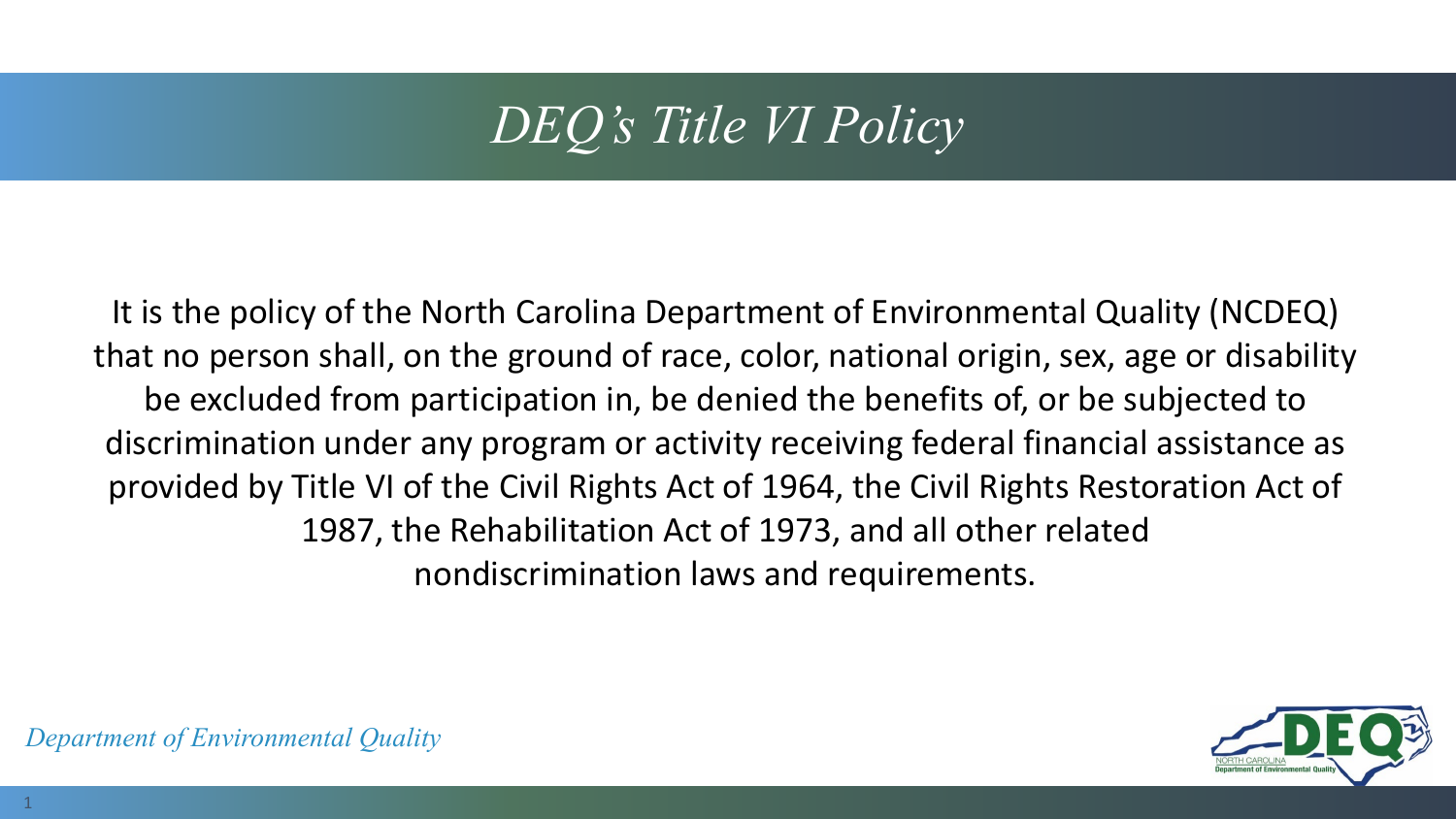# *DEQ's Title VI Policy*

It is the policy of the North Carolina Department of Environmental Quality (NCDEQ) that no person shall, on the ground of race, color, national origin, sex, age or disability be excluded from participation in, be denied the benefits of, or be subjected to discrimination under any program or activity receiving federal financial assistance as provided by Title VI of the Civil Rights Act of 1964, the Civil Rights Restoration Act of 1987, the Rehabilitation Act of 1973, and all other related nondiscrimination laws and requirements.

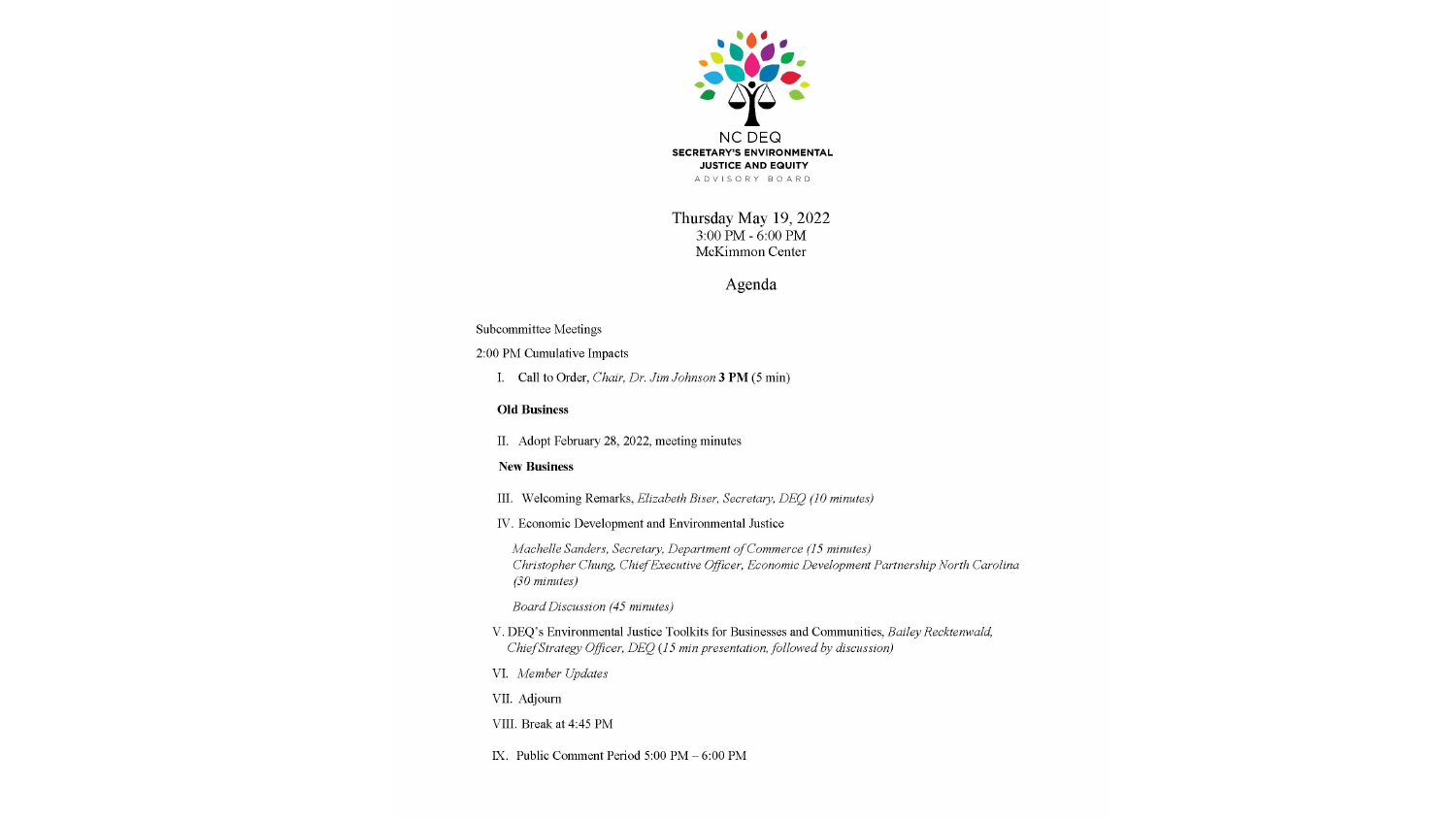

Thursday May 19, 2022 3:00 PM - 6:00 PM McKimmon Center

Agenda

#### Subcommittee Meetings

#### 2:00 PM Cumulative Impacts

I. Call to Order, Chair, Dr. Jim Johnson 3 PM (5 min)

#### **Old Business**

II. Adopt February 28, 2022, meeting minutes

#### **New Business**

- III. Welcoming Remarks, Elizabeth Biser, Secretary, DEQ (10 minutes)
- IV. Economic Development and Environmental Justice

Machelle Sanders, Secretary, Department of Commerce (15 minutes) Christopher Chung, Chief Executive Officer, Economic Development Partnership North Carolina (30 minutes)

Board Discussion (45 minutes)

- V. DEQ's Environmental Justice Toolkits for Businesses and Communities, Bailey Recktenwald, Chief Strategy Officer, DEQ (15 min presentation, followed by discussion)
- VI. Member Updates

VII. Adjourn

VIII. Break at 4:45 PM

IX. Public Comment Period 5:00 PM - 6:00 PM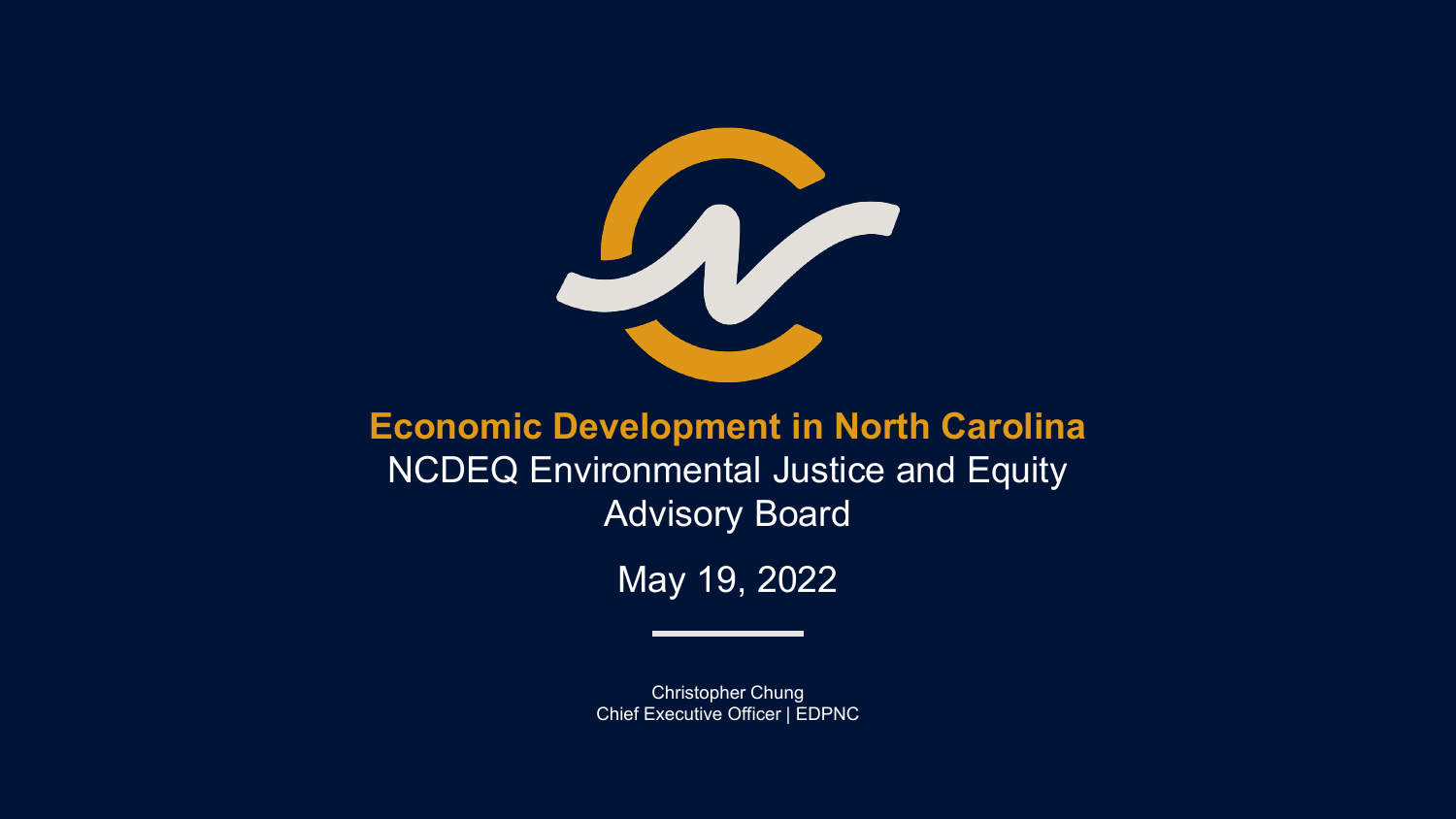

#### **Economic Development in North Carolina NCDEQ Environmental Justice and Equity** Advisory Board

May 19, 2022

Christopher Chung Chief Executive Officer | EDPNC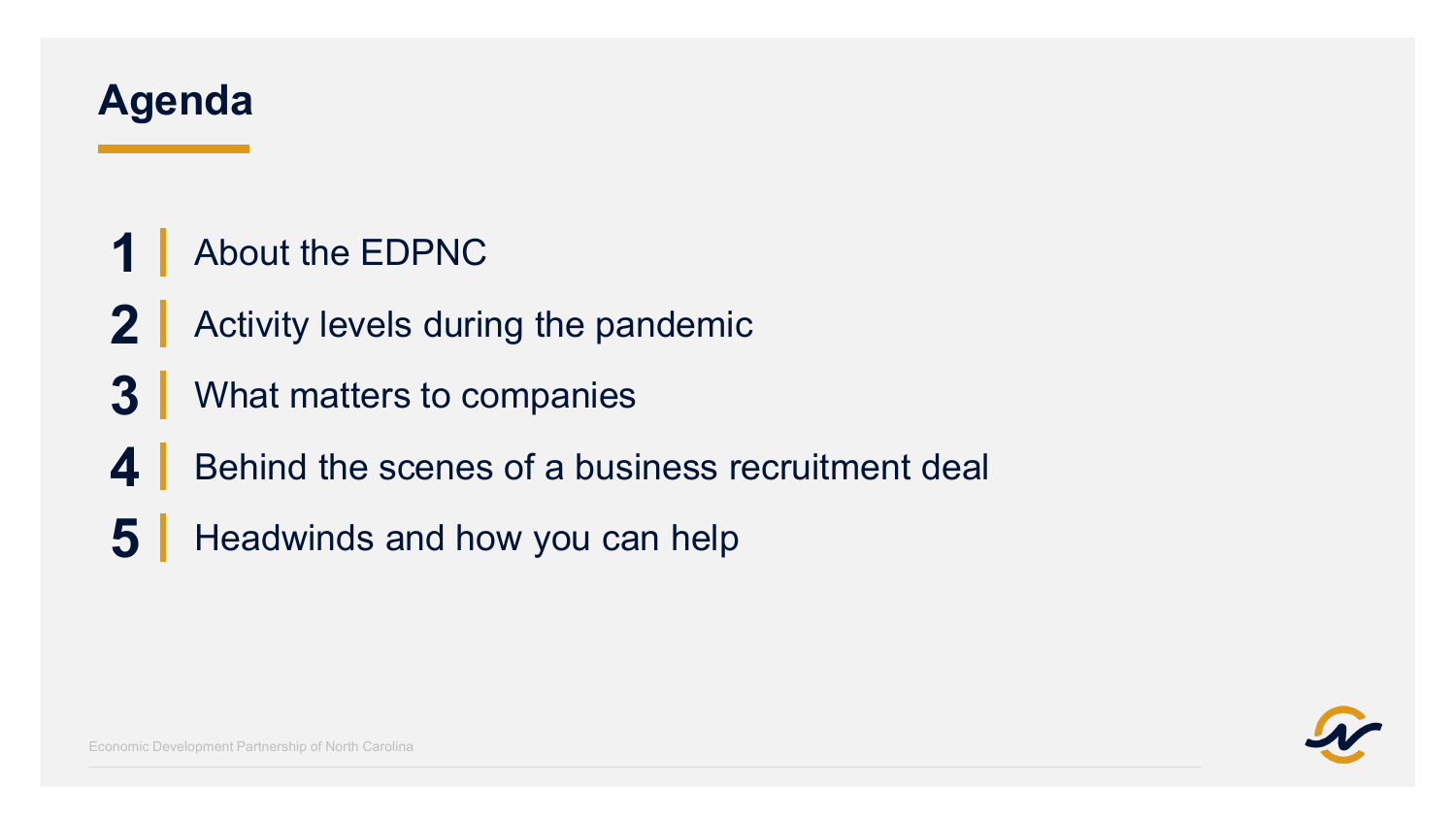## **Agenda**

- About the EDPNC
- Activity levels during the pandemic
- What matters to companies
- Behind the scenes of a business recruitment deal
- Headwinds and how you can help

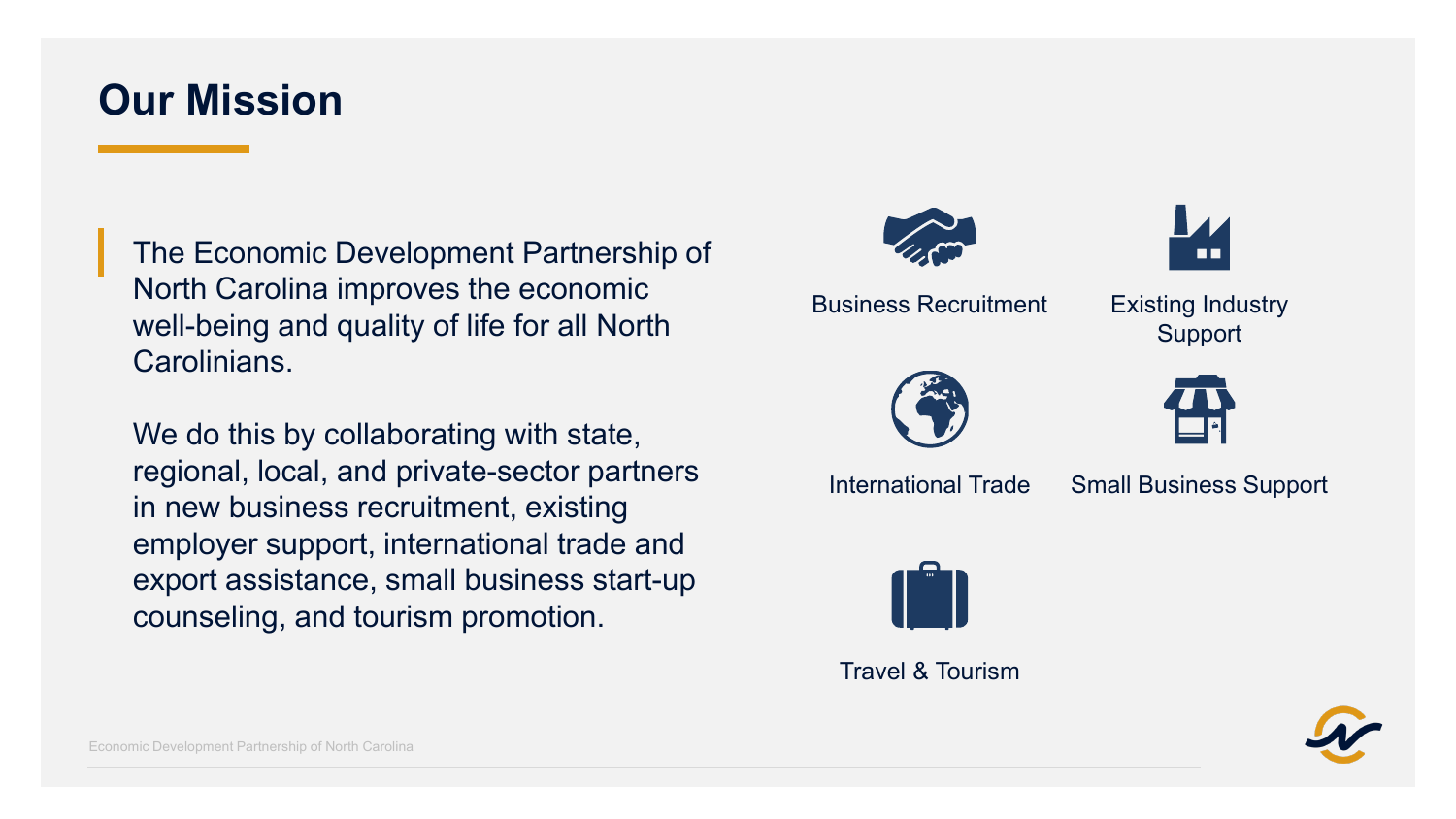### **Our Mission**

The Economic Development Partnership of North Carolina improves the economic well-being and quality of life for all North Carolinians.

We do this by collaborating with state, regional, local, and private-sector partners in new business recruitment, existing employer support, international trade and export assistance, small business start-up counseling, and tourism promotion.





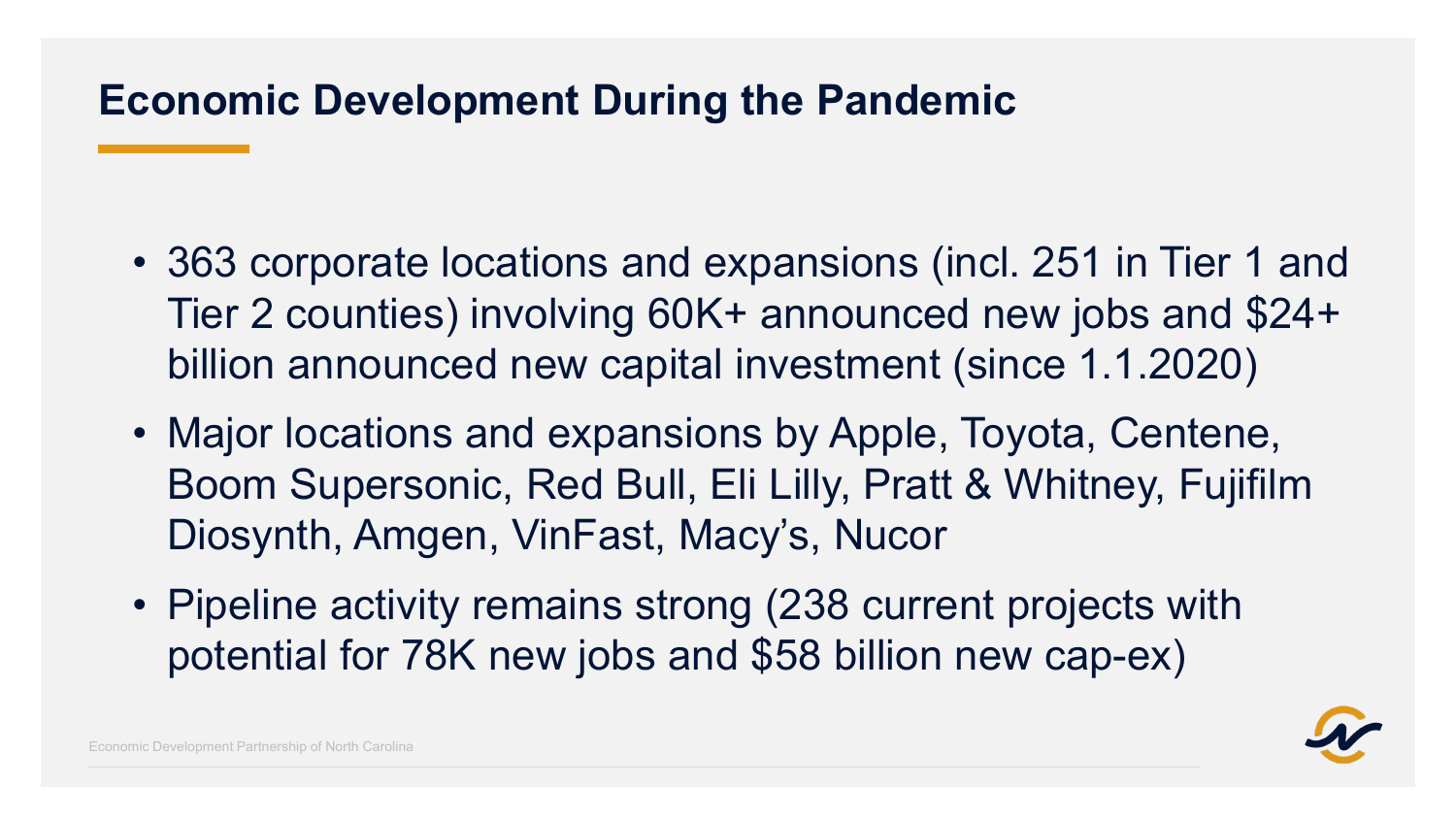## **Economic Development During the Pandemic**

- 363 corporate locations and expansions (incl. 251 in Tier 1 and Tier 2 counties) involving 60K+ announced new jobs and \$24+ billion announced new capital investment (since 1.1.2020)
- Major locations and expansions by Apple, Toyota, Centene, Boom Supersonic, Red Bull, Eli Lilly, Pratt & Whitney, Fujifilm Diosynth, Amgen, VinFast, Macy's, Nucor
- Pipeline activity remains strong (238 current projects with potential for 78K new jobs and \$58 billion new cap-ex)

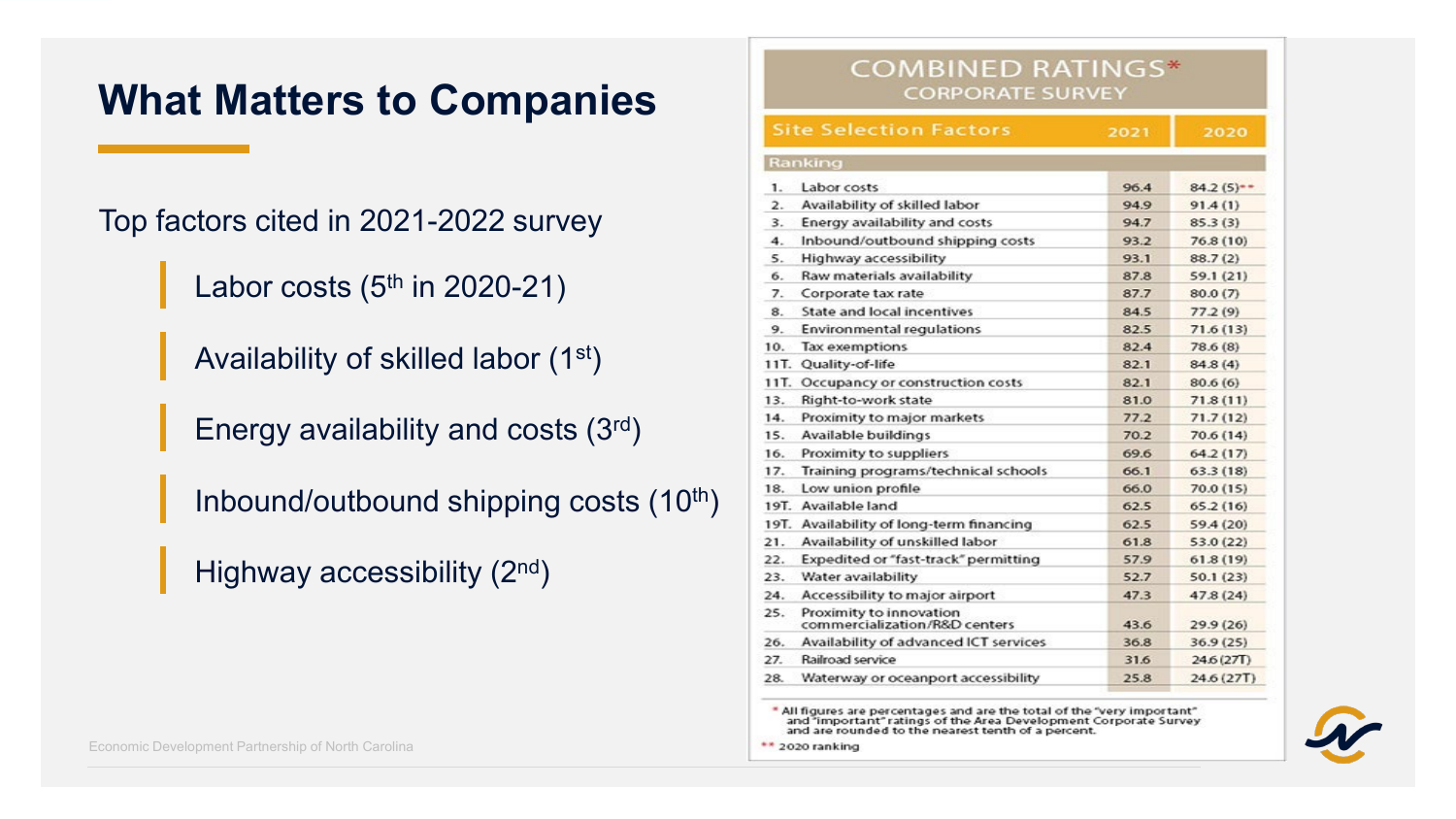#### **What Matters to Companies**

Top factors cited in 2021-2022 survey

Labor costs  $(5<sup>th</sup>$  in 2020-21)

Availability of skilled labor (1st)

Energy availability and costs (3rd)

Inbound/outbound shipping costs (10<sup>th</sup>)

Highway accessibility (2nd)

|  |  |  | Economic Development Partnership of North Carolina |
|--|--|--|----------------------------------------------------|
|--|--|--|----------------------------------------------------|

| <b>COMBINED RATINGS*</b><br><b>CORPORATE SURVEY</b> |                                                          |      |                         |  |
|-----------------------------------------------------|----------------------------------------------------------|------|-------------------------|--|
|                                                     | <b>Site Selection Factors</b>                            | 2021 | 2020                    |  |
|                                                     | Ranking                                                  |      |                         |  |
| 1.                                                  | Labor costs                                              | 96.4 | $84.2(5)$ <sup>**</sup> |  |
| $\overline{2}$ .                                    | Availability of skilled labor                            | 94.9 | 91.4(1)                 |  |
| 3.                                                  | Energy availability and costs                            | 94.7 | 85.3(3)                 |  |
| 4.                                                  | Inbound/outbound shipping costs                          | 93.2 | 76.8(10)                |  |
| 5.                                                  | Highway accessibility                                    | 93.1 | 88.7(2)                 |  |
| 6.                                                  | Raw materials availability                               | 87.8 | 59.1 (21)               |  |
| 7.                                                  | Corporate tax rate                                       | 87.7 | 80.0(7)                 |  |
| 8.                                                  | State and local incentives                               | 84.5 | 77.2(9)                 |  |
| 9.                                                  | <b>Environmental regulations</b>                         | 82.5 | 71.6(13)                |  |
| 10.                                                 | Tax exemptions                                           | 82.4 | 78.6 (8)                |  |
| 11T.                                                | Quality-of-life                                          | 82.1 | 84.8(4)                 |  |
| 11T.                                                | Occupancy or construction costs                          | 82.1 | 80.6(6)                 |  |
| 13.                                                 | Right-to-work state                                      | 81.0 | 71.8(11)                |  |
| 14.                                                 | Proximity to major markets                               | 77.2 | 71.7(12)                |  |
| 15.                                                 | Available buildings                                      | 70.2 | 70.6 (14)               |  |
| 16.                                                 | Proximity to suppliers                                   | 69.6 | 64.2(17)                |  |
| 17.                                                 | Training programs/technical schools                      | 66.1 | 63.3(18)                |  |
| 18.                                                 | Low union profile                                        | 66.0 | 70.0 (15)               |  |
|                                                     | 19T. Available land                                      | 62.5 | 65.2(16)                |  |
|                                                     | 19T. Availability of long-term financing                 | 62.5 | 59.4 (20)               |  |
| 21.                                                 | Availability of unskilled labor                          | 61.8 | 53.0 (22)               |  |
| 22.                                                 | Expedited or "fast-track" permitting                     | 57.9 | 61.8(19)                |  |
| 23.                                                 | Water availability                                       | 52.7 | 50.1(23)                |  |
| 24.                                                 | Accessibility to major airport                           | 47.3 | 47.8 (24)               |  |
| 25.                                                 | Proximity to innovation<br>commercialization/R&D centers | 43.6 | 29.9(26)                |  |
| 26.                                                 | Availability of advanced ICT services                    | 36.8 | 36.9(25)                |  |
| 27.                                                 | Railroad service                                         | 31.6 | 24.6 (27T)              |  |
| 28.                                                 | Waterway or oceanport accessibility                      | 25.8 | 24.6 (27T)              |  |

\* All figures are percentages and are the total of the "very important" and "important" ratings of the Area Development Corporate Survey and are rounded to the nearest tenth of a percent.

\*\* 2020 ranking

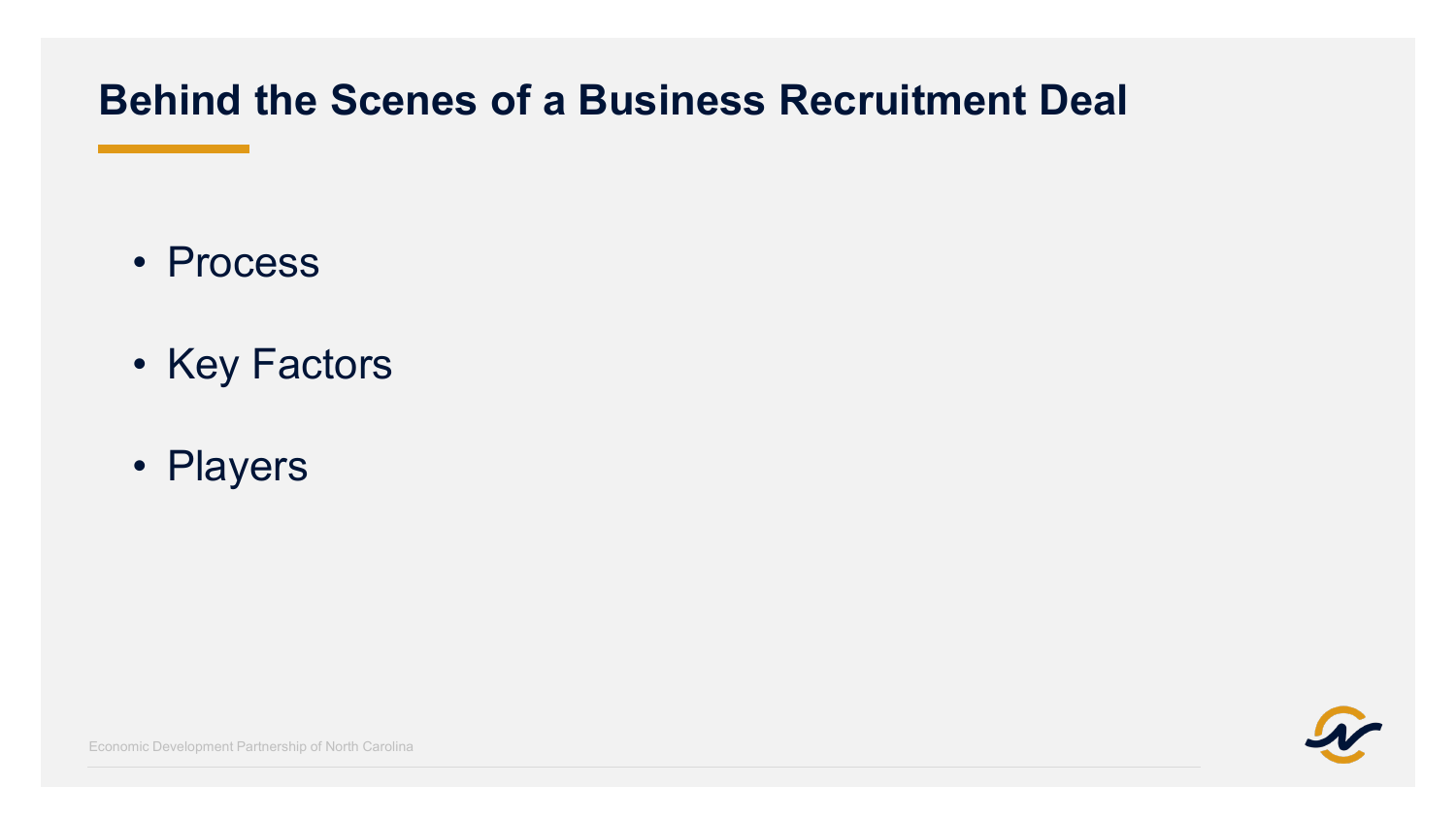### **Behind the Scenes of a Business Recruitment Deal**

- Process
- Key Factors
- Players



Economic Development Partnership of North Carolina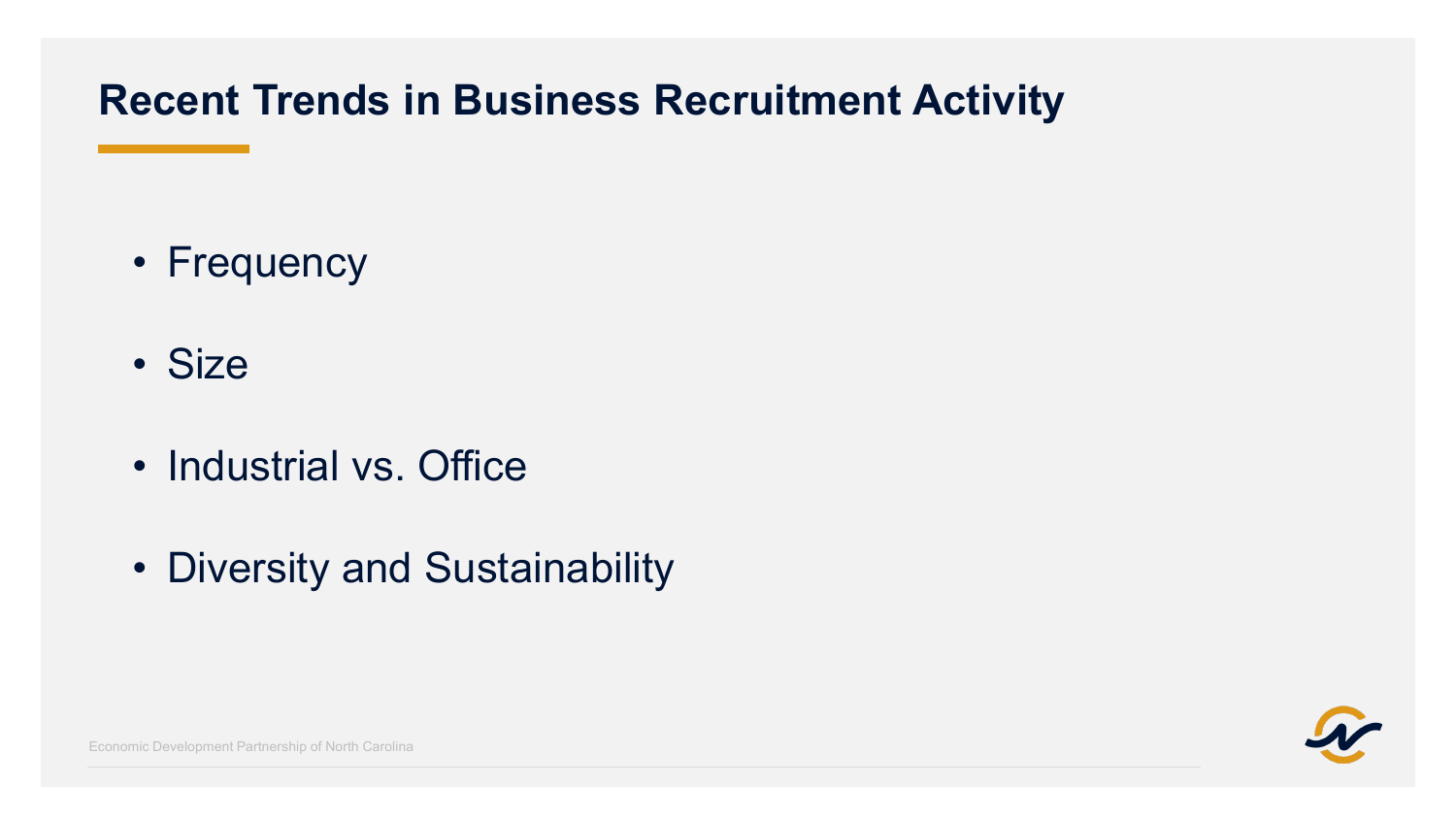## **Recent Trends in Business Recruitment Activity**

- Frequency
- Size
- Industrial vs. Office
- Diversity and Sustainability



Economic Development Partnership of North Carolina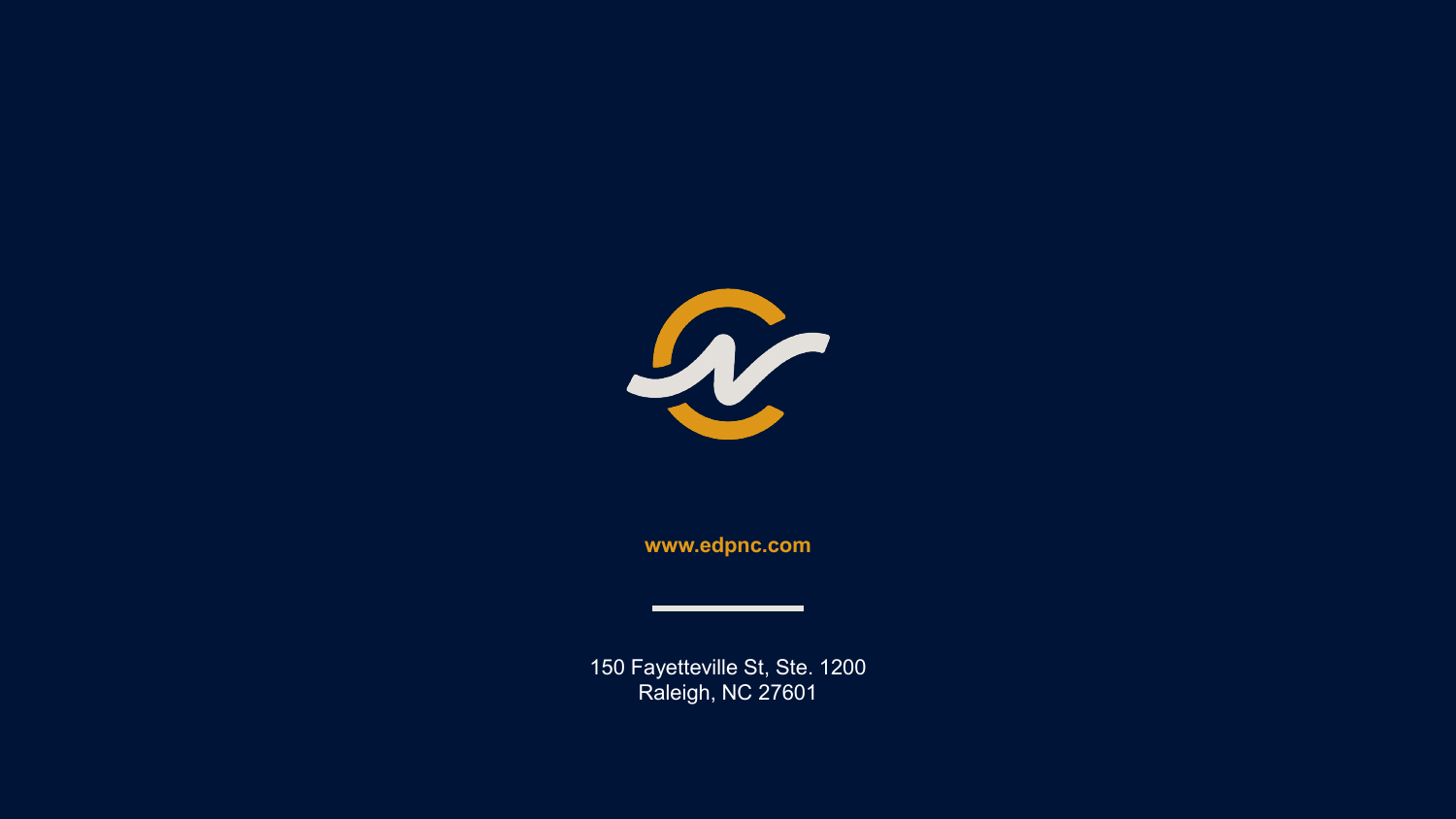

**www.edpnc.com**

150 Fayetteville St, Ste. 1200 Raleigh, NC 27601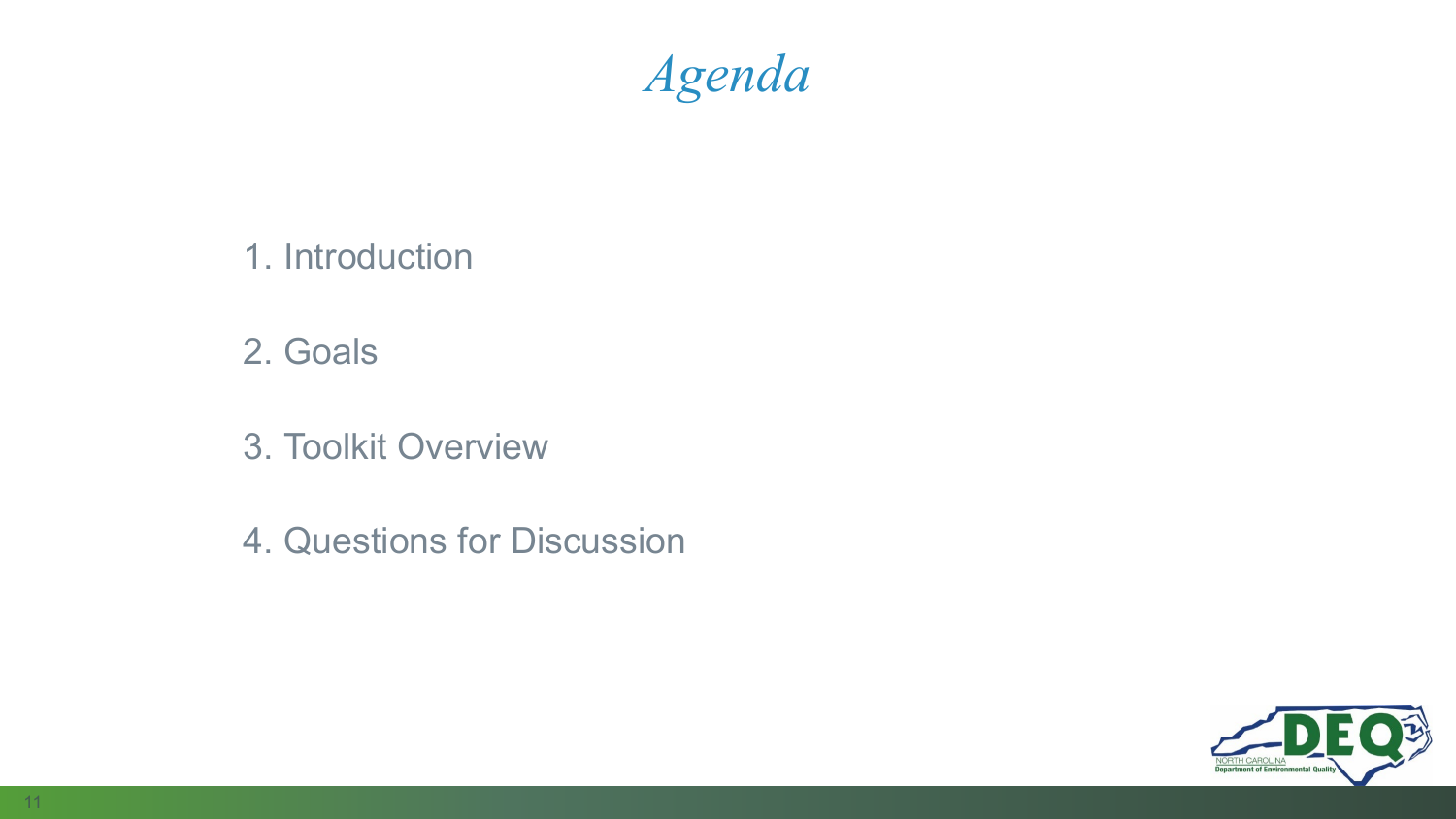## *Agenda*

- 1. Introduction
- 2. Goals
- 3. Toolkit Overview
- 4. Questions for Discussion

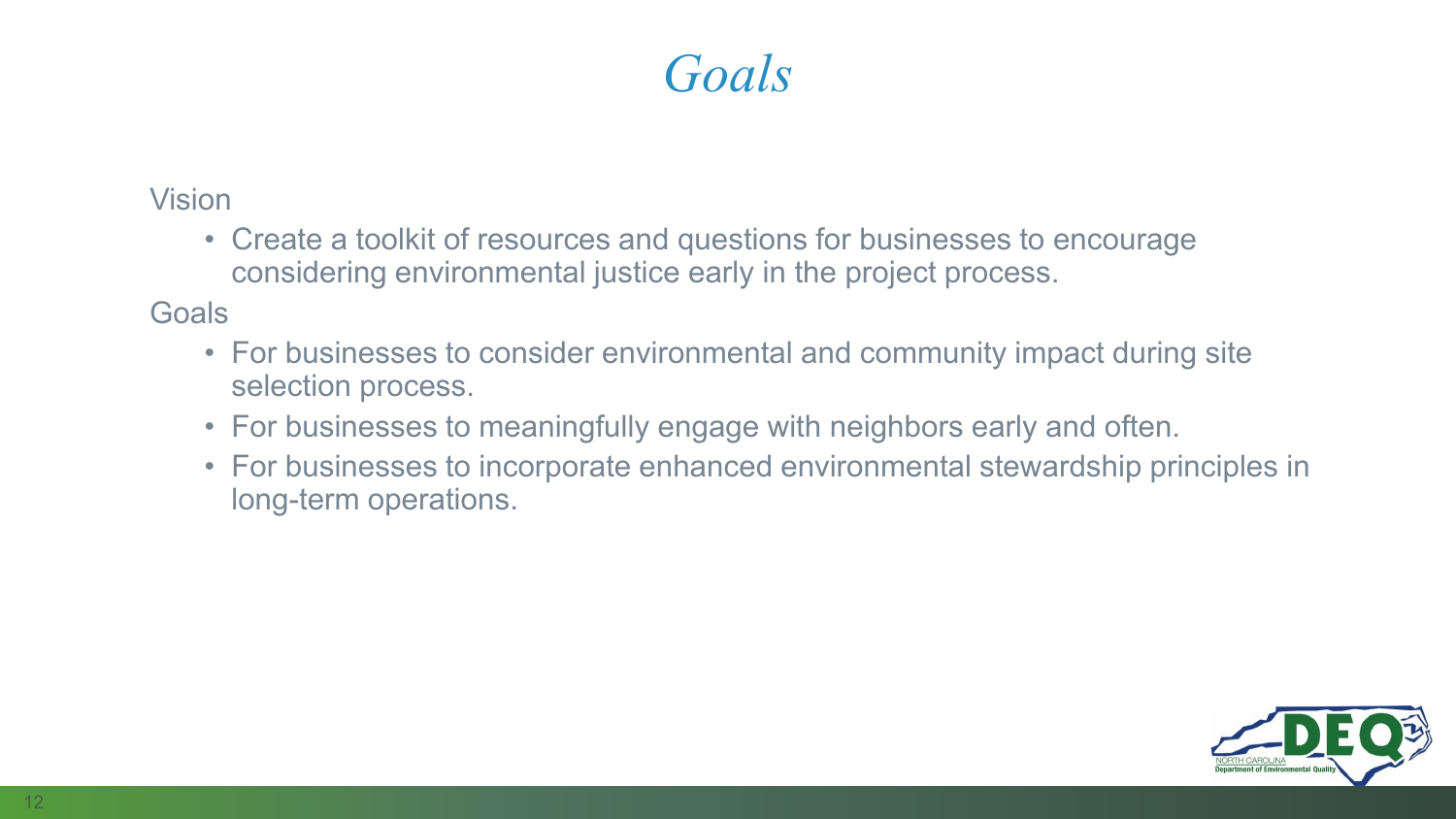## *Goals*

Vision

• Create a toolkit of resources and questions for businesses to encourage considering environmental justice early in the project process.

**Goals** 

- For businesses to consider environmental and community impact during site selection process.
- For businesses to meaningfully engage with neighbors early and often.
- For businesses to incorporate enhanced environmental stewardship principles in long-term operations.

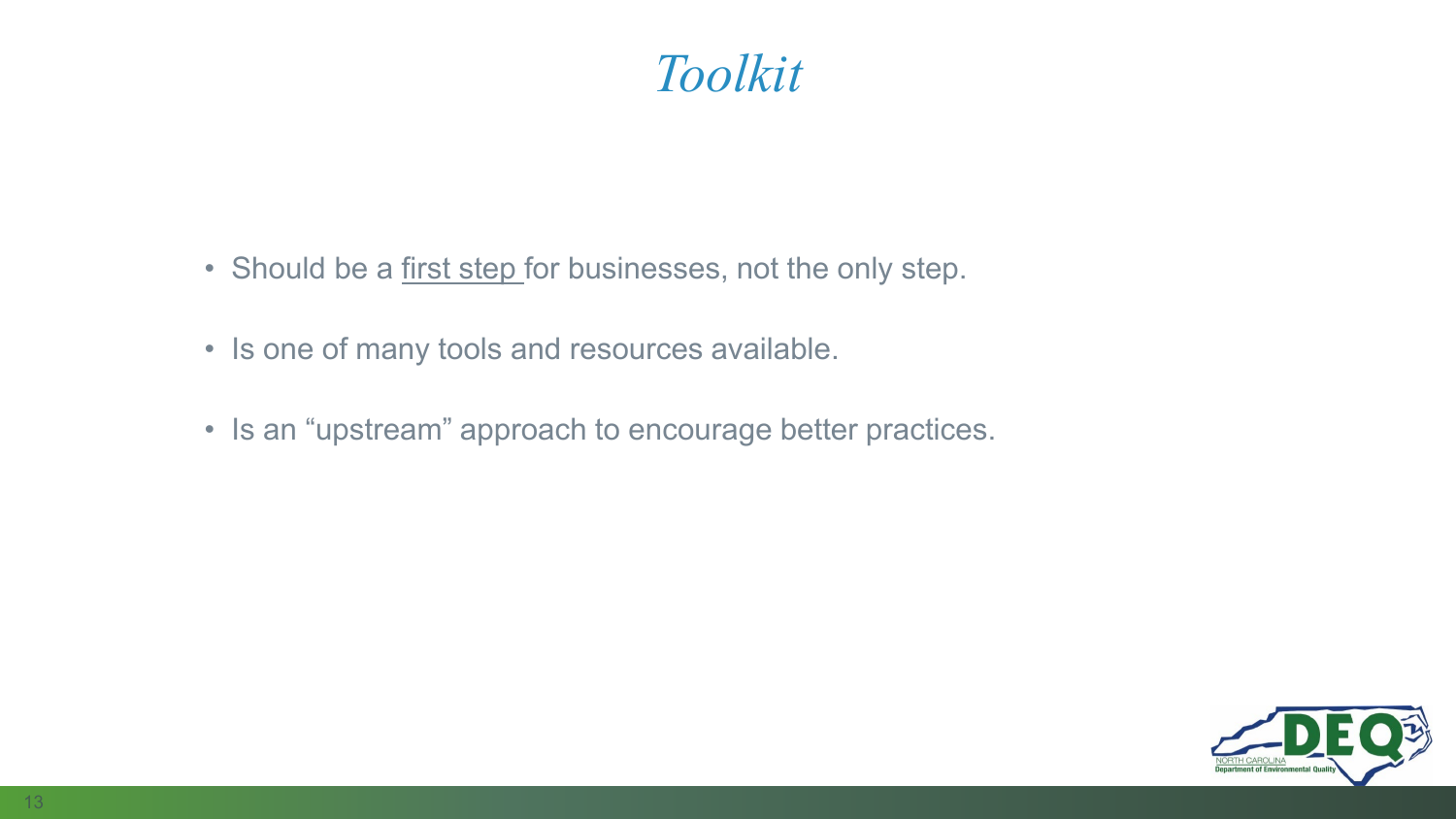## *Toolkit*

- Should be a first step for businesses, not the only step.
- Is one of many tools and resources available.
- Is an "upstream" approach to encourage better practices.

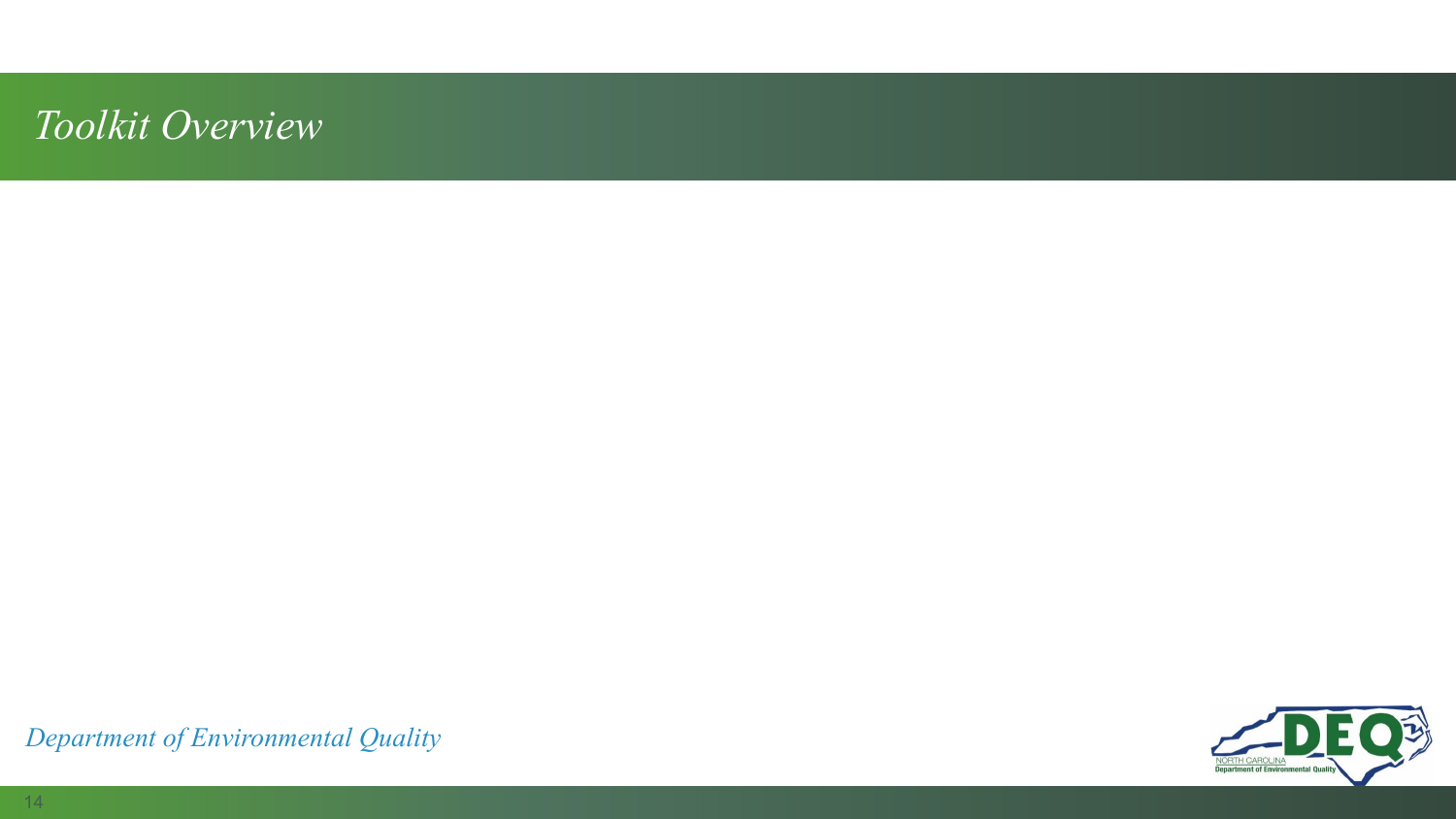### *Toolkit Overview*

**Department of Environmental Qua** 

*Department of Environmental Quality*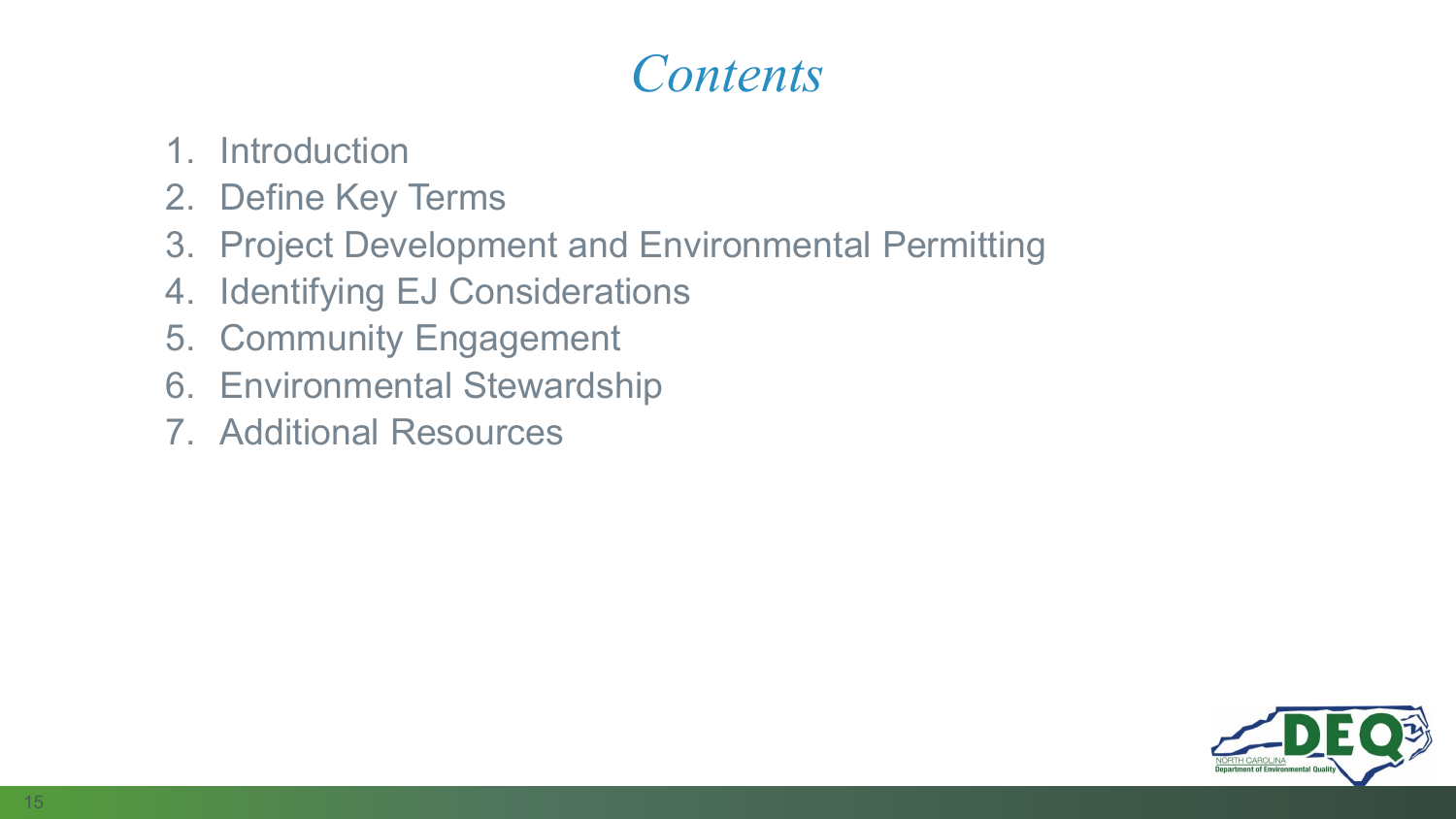## *Contents*

- 1. Introduction
- 2. Define Key Terms
- 3. Project Development and Environmental Permitting
- 4. Identifying EJ Considerations
- 5. Community Engagement
- 6. Environmental Stewardship
- 7. Additional Resources

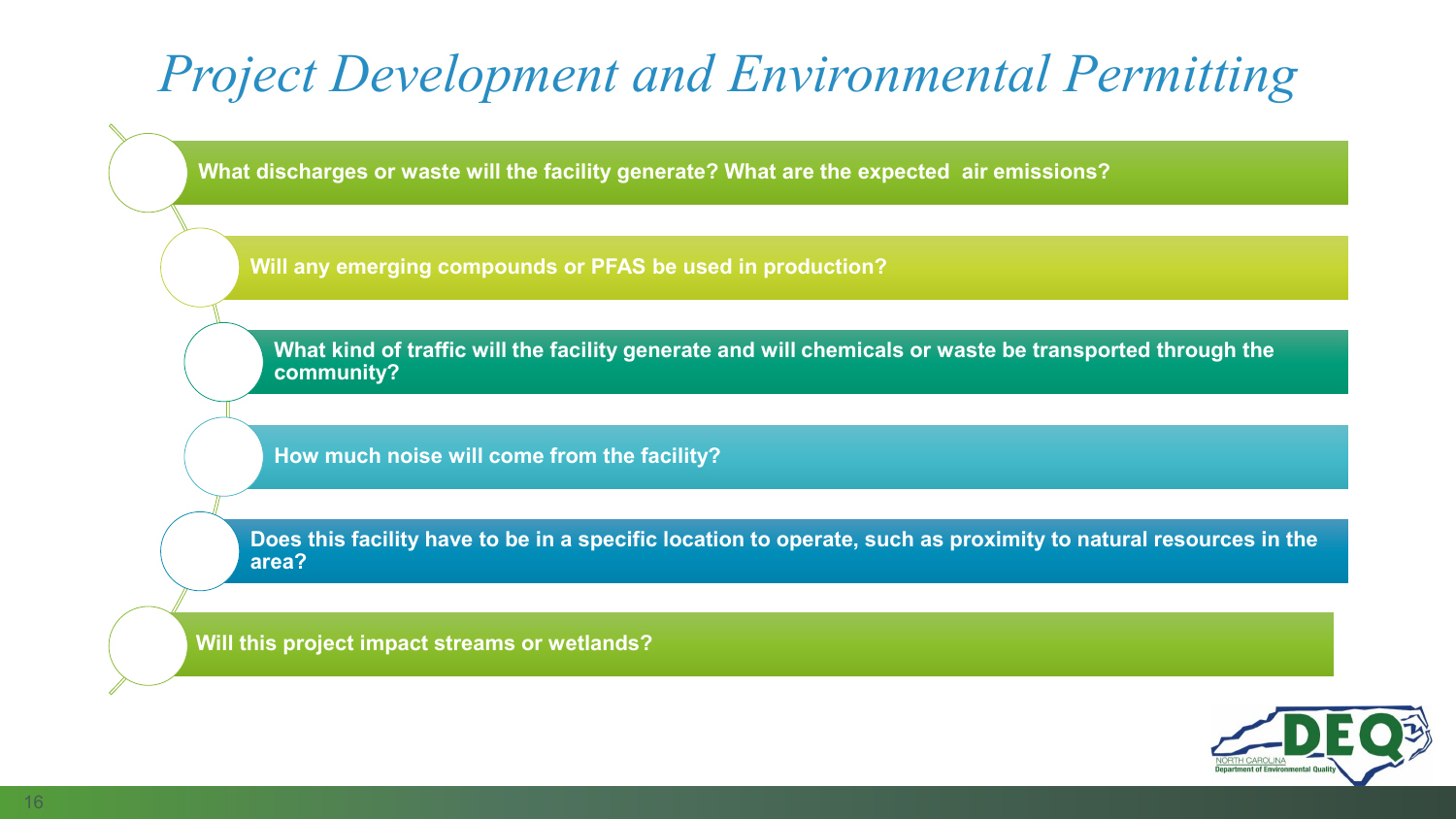# *Project Development and Environmental Permitting*

**What discharges or waste will the facility generate? What are the expected air emissions?** 

**Will any emerging compounds or PFAS be used in production?**

**What kind of traffic will the facility generate and will chemicals or waste be transported through the community?** 

**How much noise will come from the facility?** 

**Does this facility have to be in a specific location to operate, such as proximity to natural resources in the area?**

**Will this project impact streams or wetlands?**

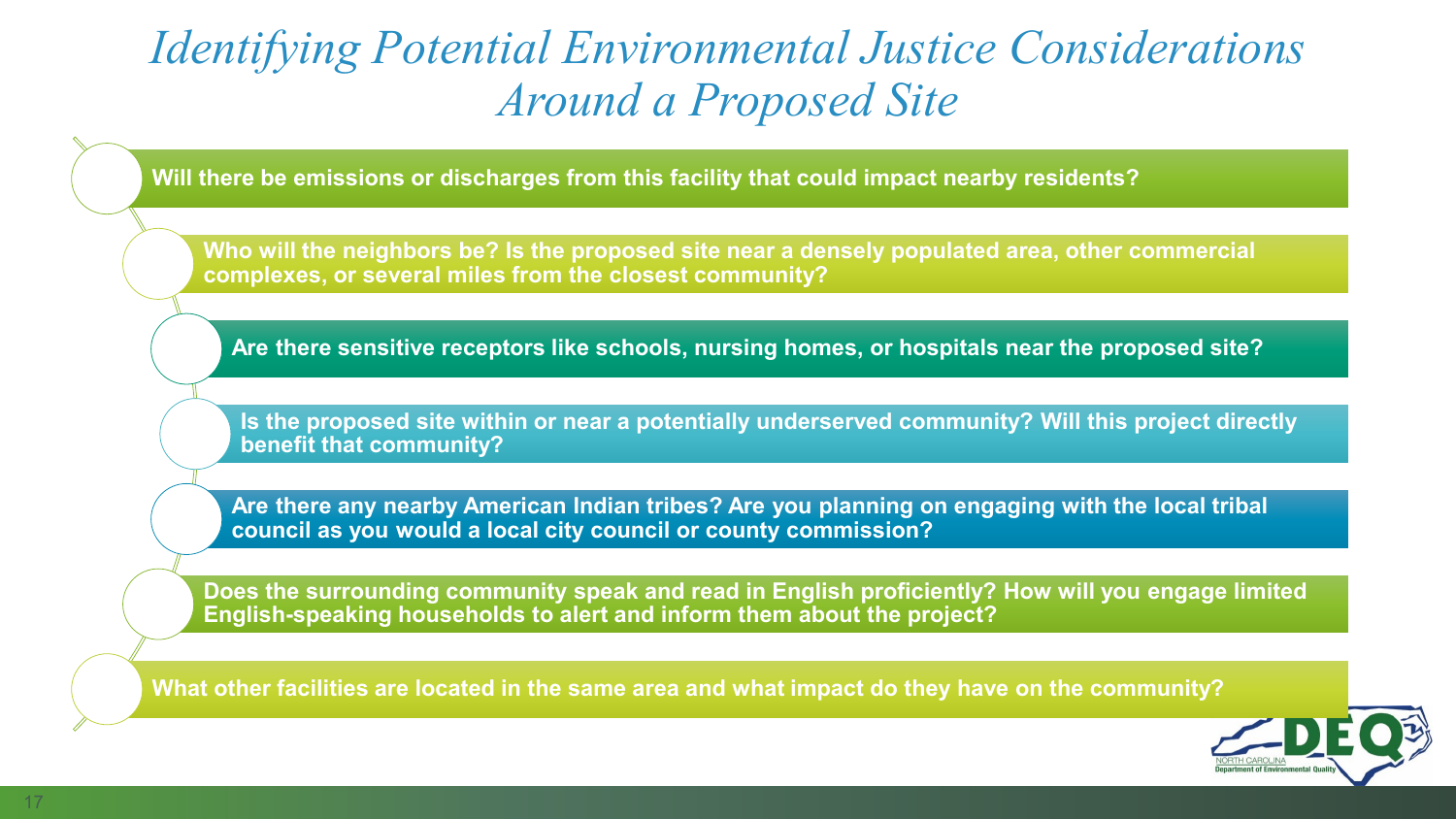## *Identifying Potential Environmental Justice Considerations Around a Proposed Site*

**Will there be emissions or discharges from this facility that could impact nearby residents?** 

**Who will the neighbors be? Is the proposed site near a densely populated area, other commercial complexes, or several miles from the closest community?**

**Are there sensitive receptors like schools, nursing homes, or hospitals near the proposed site?**

**Is the proposed site within or near a potentially underserved community? Will this project directly benefit that community?**

**Are there any nearby American Indian tribes? Are you planning on engaging with the local tribal council as you would a local city council or county commission?** 

**Does the surrounding community speak and read in English proficiently? How will you engage limited English-speaking households to alert and inform them about the project?**

**What other facilities are located in the same area and what impact do they have on the community?**

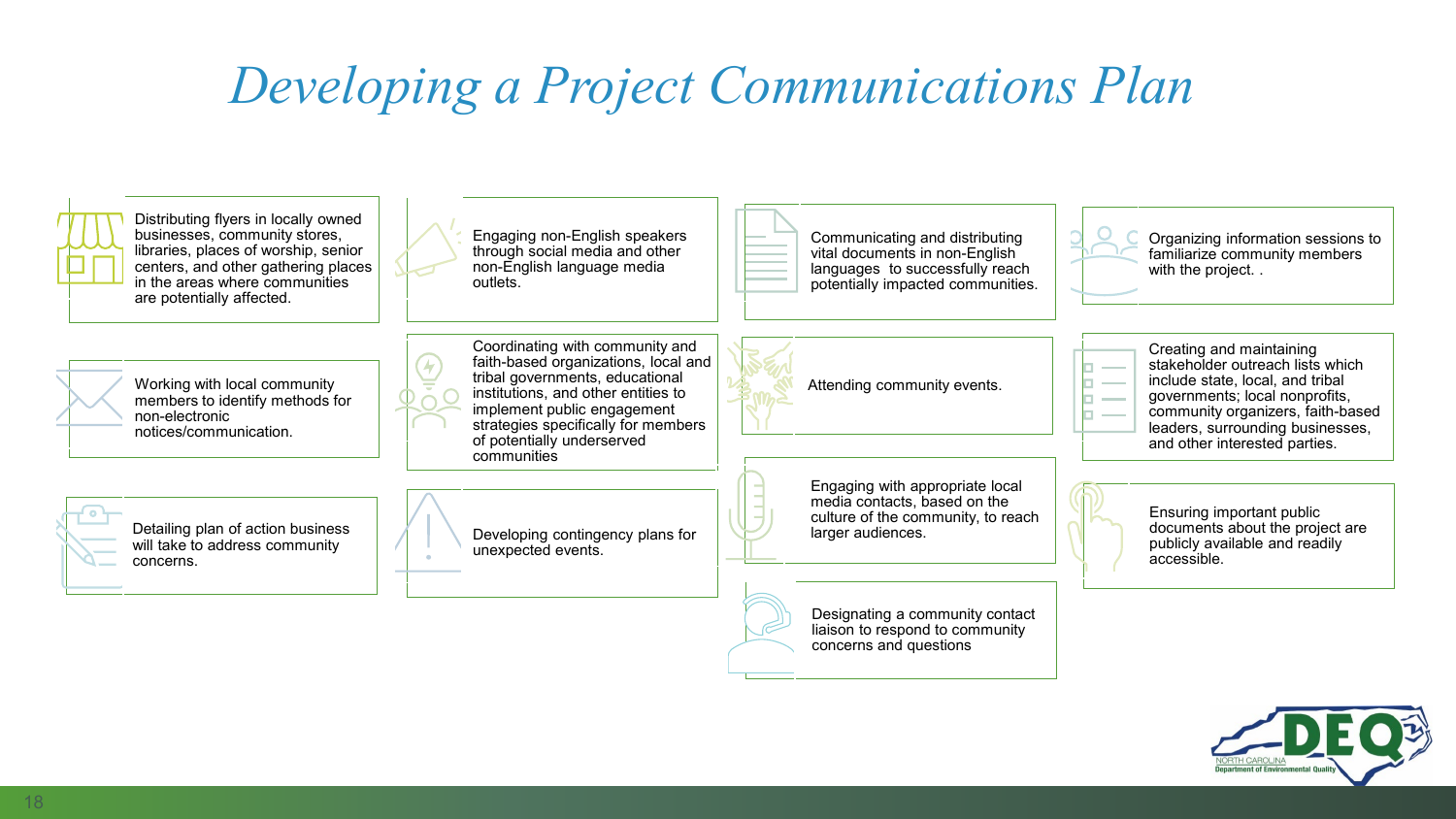# *Developing a Project Communications Plan*



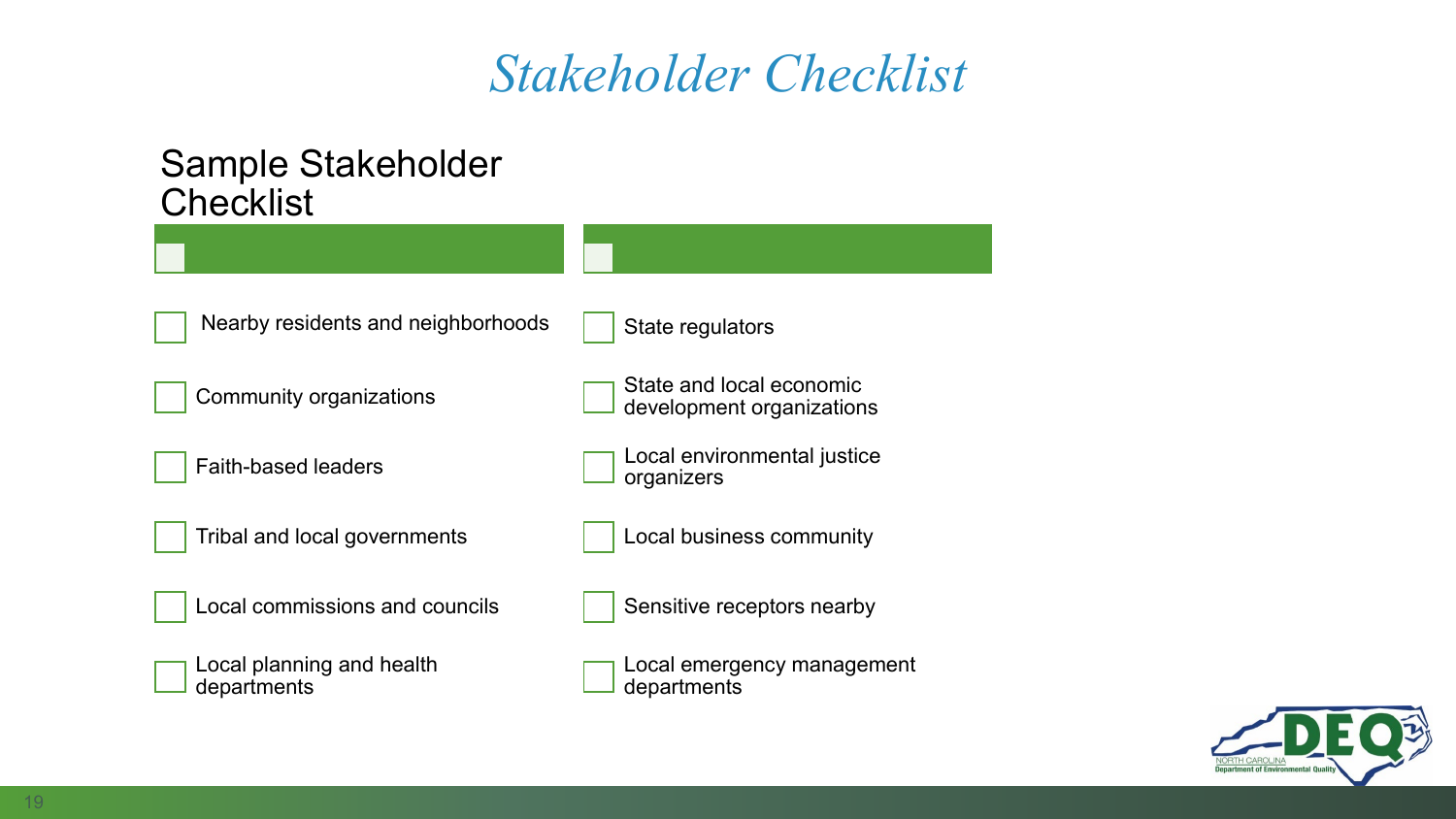## *Stakeholder Checklist*

#### Sample Stakeholder **Checklist**

| Nearby residents and neighborhoods       | State regulators                                      |
|------------------------------------------|-------------------------------------------------------|
| <b>Community organizations</b>           | State and local economic<br>development organizations |
| <b>Faith-based leaders</b>               | Local environmental justice<br>organizers             |
| Tribal and local governments             | Local business community                              |
| Local commissions and councils           | Sensitive receptors nearby                            |
| Local planning and health<br>departments | Local emergency management<br>departments             |

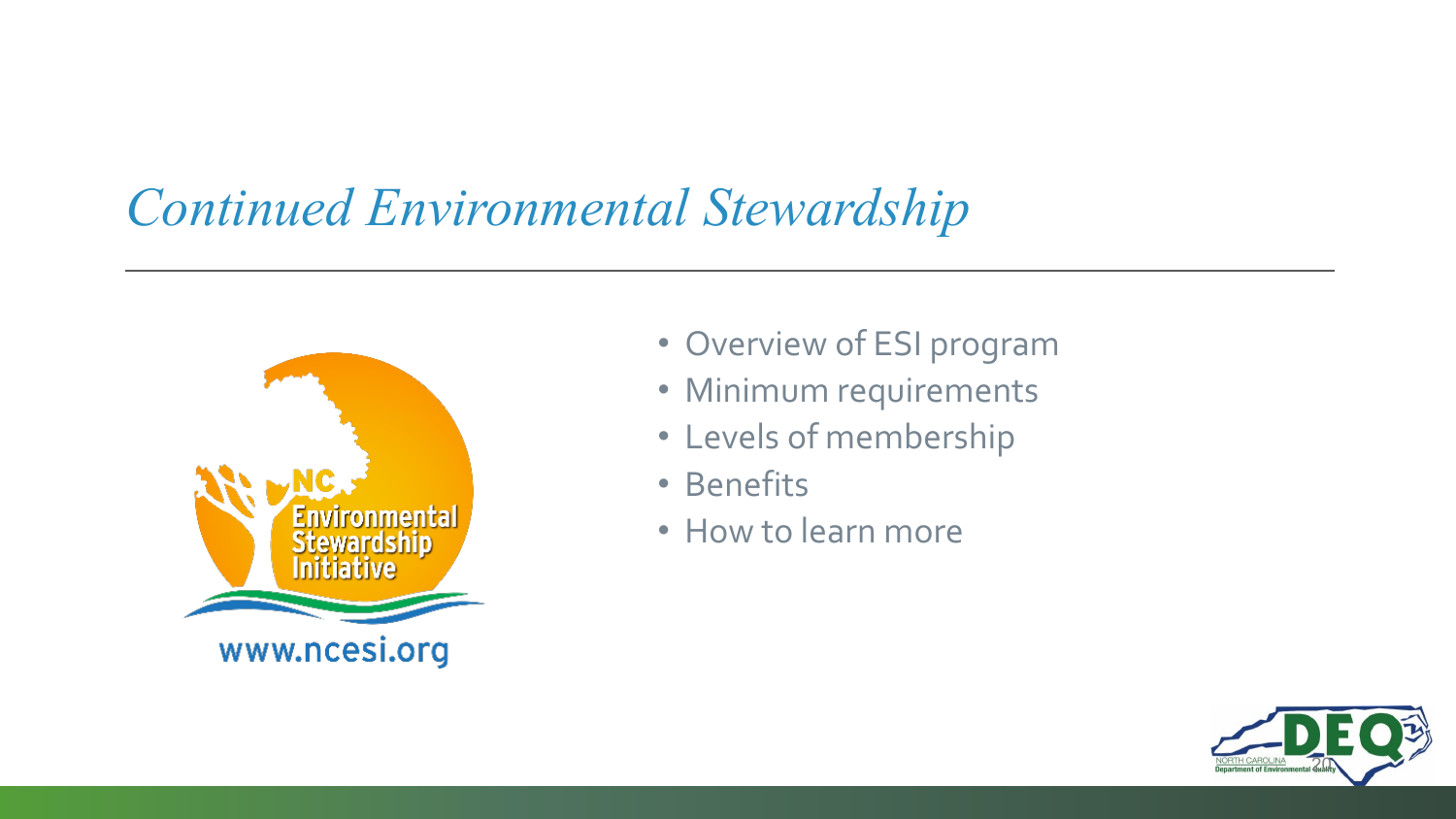## *Continued Environmental Stewardship*



- Overview of ESI program
- Minimum requirements
- Levels of membership
- Benefits
- How to learn more